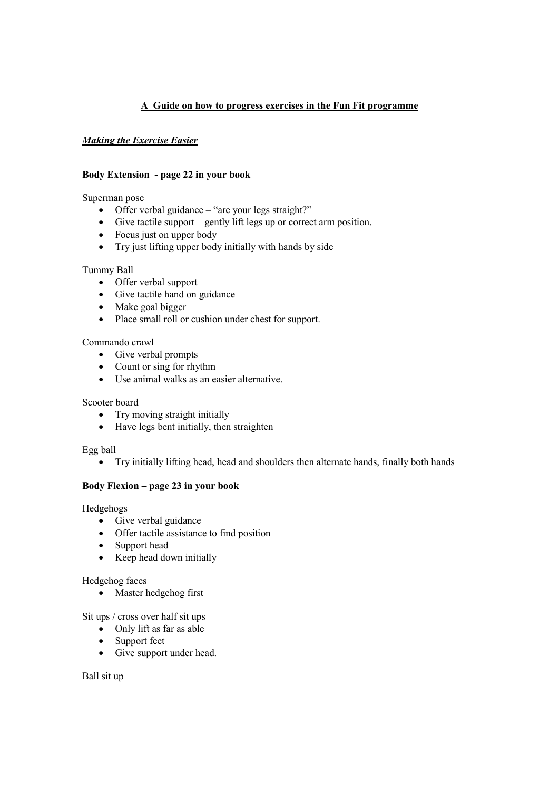# **A Guide on how to progress exercises in the Fun Fit programme**

# *Making the Exercise Easier*

## **Body Extension - page 22 in your book**

Superman pose

- Offer verbal guidance "are your legs straight?"
- Give tactile support gently lift legs up or correct arm position.
- Focus just on upper body
- Try just lifting upper body initially with hands by side

## Tummy Ball

- Offer verbal support
- Give tactile hand on guidance
- Make goal bigger
- Place small roll or cushion under chest for support.

## Commando crawl

- Give verbal prompts
- Count or sing for rhythm
- Use animal walks as an easier alternative.

# Scooter board

- Try moving straight initially
- Have legs bent initially, then straighten

## Egg ball

• Try initially lifting head, head and shoulders then alternate hands, finally both hands

## **Body Flexion – page 23 in your book**

Hedgehogs

- Give verbal guidance
- Offer tactile assistance to find position
- Support head
- Keep head down initially

## Hedgehog faces

• Master hedgehog first

Sit ups / cross over half sit ups

- Only lift as far as able
- Support feet
- Give support under head.

Ball sit up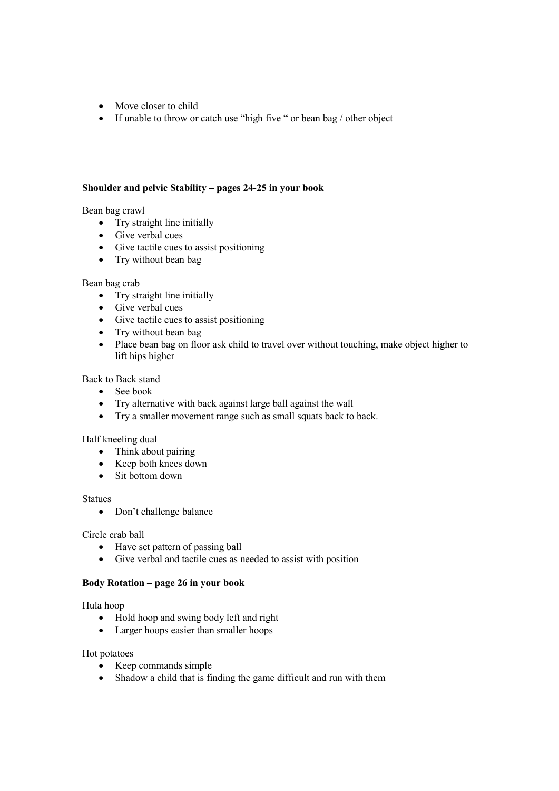- Move closer to child
- If unable to throw or catch use "high five " or bean bag / other object

## **Shoulder and pelvic Stability – pages 24-25 in your book**

Bean bag crawl

- Try straight line initially
- Give verbal cues
- Give tactile cues to assist positioning
- Try without bean bag

### Bean bag crab

- Try straight line initially
- Give verbal cues
- Give tactile cues to assist positioning
- Try without bean bag
- Place bean bag on floor ask child to travel over without touching, make object higher to lift hips higher

Back to Back stand

- See book
- Try alternative with back against large ball against the wall
- Try a smaller movement range such as small squats back to back.

## Half kneeling dual

- Think about pairing
- Keep both knees down
- Sit bottom down

### Statues

• Don't challenge balance

Circle crab ball

- Have set pattern of passing ball
- Give verbal and tactile cues as needed to assist with position

## **Body Rotation – page 26 in your book**

Hula hoop

- Hold hoop and swing body left and right
- Larger hoops easier than smaller hoops

#### Hot potatoes

- Keep commands simple
- Shadow a child that is finding the game difficult and run with them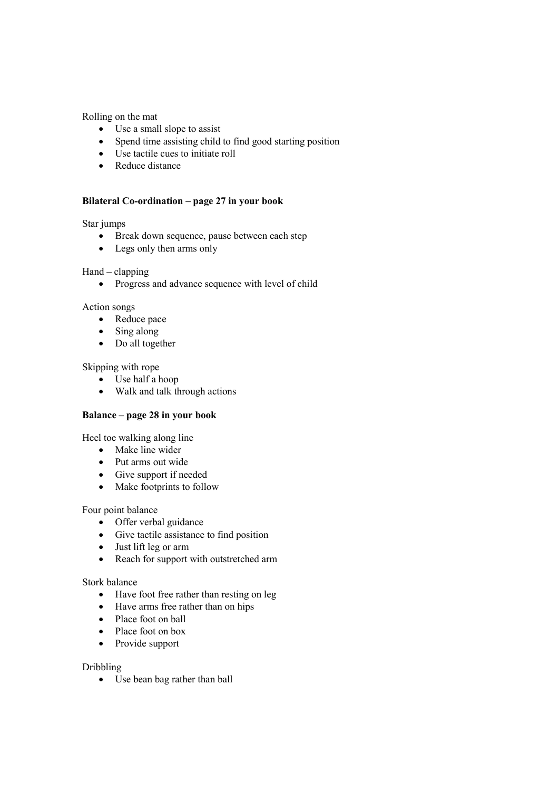Rolling on the mat

- Use a small slope to assist
- Spend time assisting child to find good starting position
- Use tactile cues to initiate roll
- Reduce distance

## **Bilateral Co-ordination – page 27 in your book**

### Star jumps

- Break down sequence, pause between each step
- Legs only then arms only

### Hand – clapping

• Progress and advance sequence with level of child

## Action songs

- Reduce pace
- Sing along
- Do all together

## Skipping with rope

- Use half a hoop
- Walk and talk through actions

## **Balance – page 28 in your book**

Heel toe walking along line

- Make line wider
- Put arms out wide
- Give support if needed
- Make footprints to follow

#### Four point balance

- Offer verbal guidance
- Give tactile assistance to find position
- Just lift leg or arm
- Reach for support with outstretched arm

#### Stork balance

- Have foot free rather than resting on leg
- Have arms free rather than on hips
- Place foot on ball
- Place foot on box
- Provide support

## Dribbling

• Use bean bag rather than ball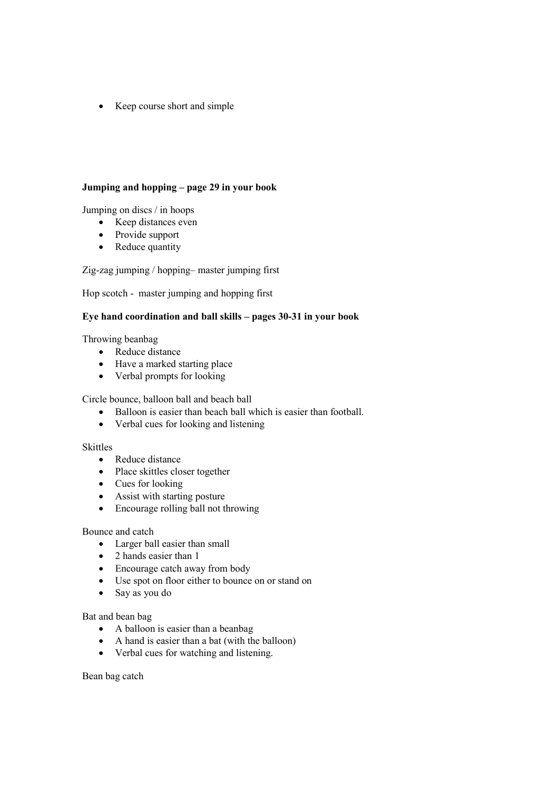• Keep course short and simple

## **Jumping and hopping – page 29 in your book**

Jumping on discs / in hoops

- Keep distances even
- Provide support
- Reduce quantity

Zig-zag jumping / hopping– master jumping first

Hop scotch - master jumping and hopping first

## **Eye hand coordination and ball skills – pages 30-31 in your book**

Throwing beanbag

- Reduce distance
- Have a marked starting place
- Verbal prompts for looking

Circle bounce, balloon ball and beach ball

- Balloon is easier than beach ball which is easier than football.
- Verbal cues for looking and listening

# Skittles

- Reduce distance
- Place skittles closer together
- Cues for looking
- Assist with starting posture
- Encourage rolling ball not throwing

### Bounce and catch

- Larger ball easier than small
- 2 hands easier than 1
- Encourage catch away from body
- Use spot on floor either to bounce on or stand on
- Say as you do

## Bat and bean bag

- A balloon is easier than a beanbag
- A hand is easier than a bat (with the balloon)
- Verbal cues for watching and listening.

Bean bag catch